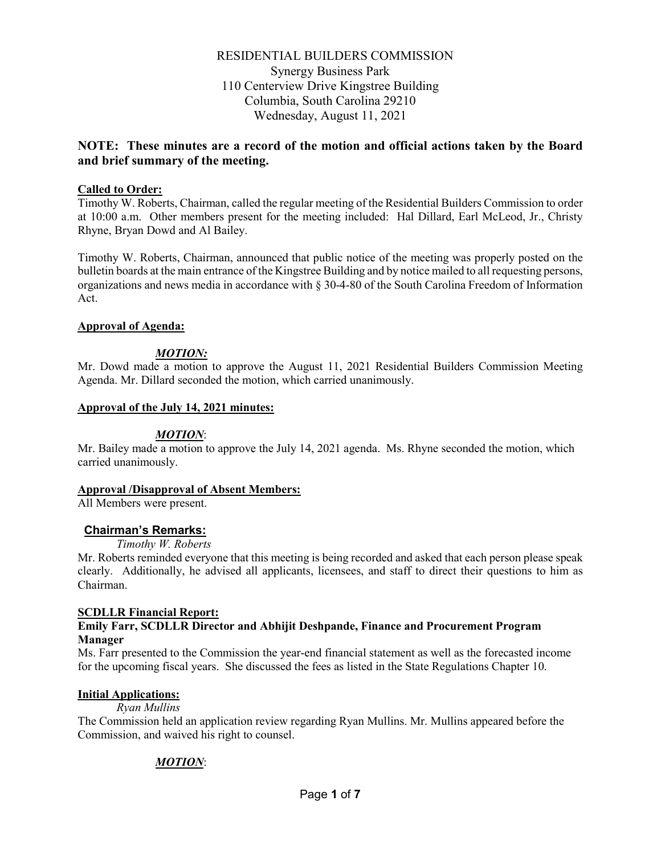RESIDENTIAL BUILDERS COMMISSION Synergy Business Park 110 Centerview Drive Kingstree Building Columbia, South Carolina 29210 Wednesday, August 11, 2021

# **NOTE: These minutes are a record of the motion and official actions taken by the Board and brief summary of the meeting.**

### **Called to Order:**

Timothy W. Roberts, Chairman, called the regular meeting of the Residential Builders Commission to order at 10:00 a.m. Other members present for the meeting included: Hal Dillard, Earl McLeod, Jr., Christy Rhyne, Bryan Dowd and Al Bailey.

Timothy W. Roberts, Chairman, announced that public notice of the meeting was properly posted on the bulletin boards at the main entrance of the Kingstree Building and by notice mailed to all requesting persons, organizations and news media in accordance with § 30-4-80 of the South Carolina Freedom of Information Act.

### **Approval of Agenda:**

# *MOTION:*

Mr. Dowd made a motion to approve the August 11, 2021 Residential Builders Commission Meeting Agenda. Mr. Dillard seconded the motion, which carried unanimously.

### **Approval of the July 14, 2021 minutes:**

# *MOTION*:

Mr. Bailey made a motion to approve the July 14, 2021 agenda. Ms. Rhyne seconded the motion, which carried unanimously.

### **Approval /Disapproval of Absent Members:**

All Members were present.

### **Chairman's Remarks:**

### *Timothy W. Roberts*

Mr. Roberts reminded everyone that this meeting is being recorded and asked that each person please speak clearly. Additionally, he advised all applicants, licensees, and staff to direct their questions to him as Chairman.

### **SCDLLR Financial Report:**

#### **Emily Farr, SCDLLR Director and Abhijit Deshpande, Finance and Procurement Program Manager**

Ms. Farr presented to the Commission the year-end financial statement as well as the forecasted income for the upcoming fiscal years. She discussed the fees as listed in the State Regulations Chapter 10.

### **Initial Applications:**

*Ryan Mullins*

The Commission held an application review regarding Ryan Mullins. Mr. Mullins appeared before the Commission, and waived his right to counsel.

# *MOTION*: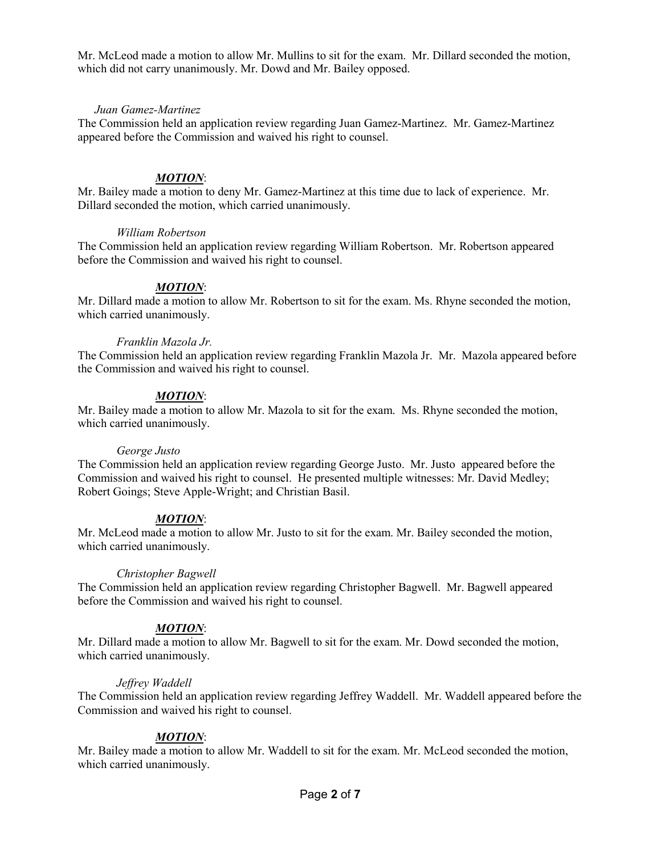Mr. McLeod made a motion to allow Mr. Mullins to sit for the exam. Mr. Dillard seconded the motion, which did not carry unanimously. Mr. Dowd and Mr. Bailey opposed.

### *Juan Gamez-Martinez*

The Commission held an application review regarding Juan Gamez-Martinez. Mr. Gamez-Martinez appeared before the Commission and waived his right to counsel.

# *MOTION*:

Mr. Bailey made a motion to deny Mr. Gamez-Martinez at this time due to lack of experience. Mr. Dillard seconded the motion, which carried unanimously.

### *William Robertson*

The Commission held an application review regarding William Robertson. Mr. Robertson appeared before the Commission and waived his right to counsel.

# *MOTION*:

Mr. Dillard made a motion to allow Mr. Robertson to sit for the exam. Ms. Rhyne seconded the motion, which carried unanimously.

### *Franklin Mazola Jr.*

The Commission held an application review regarding Franklin Mazola Jr. Mr. Mazola appeared before the Commission and waived his right to counsel.

# *MOTION*:

Mr. Bailey made a motion to allow Mr. Mazola to sit for the exam. Ms. Rhyne seconded the motion, which carried unanimously.

### *George Justo*

The Commission held an application review regarding George Justo. Mr. Justo appeared before the Commission and waived his right to counsel. He presented multiple witnesses: Mr. David Medley; Robert Goings; Steve Apple-Wright; and Christian Basil.

### *MOTION*:

Mr. McLeod made a motion to allow Mr. Justo to sit for the exam. Mr. Bailey seconded the motion, which carried unanimously.

### *Christopher Bagwell*

The Commission held an application review regarding Christopher Bagwell. Mr. Bagwell appeared before the Commission and waived his right to counsel.

# *MOTION*:

Mr. Dillard made a motion to allow Mr. Bagwell to sit for the exam. Mr. Dowd seconded the motion, which carried unanimously.

# *Jeffrey Waddell*

The Commission held an application review regarding Jeffrey Waddell. Mr. Waddell appeared before the Commission and waived his right to counsel.

# *MOTION*:

Mr. Bailey made a motion to allow Mr. Waddell to sit for the exam. Mr. McLeod seconded the motion, which carried unanimously.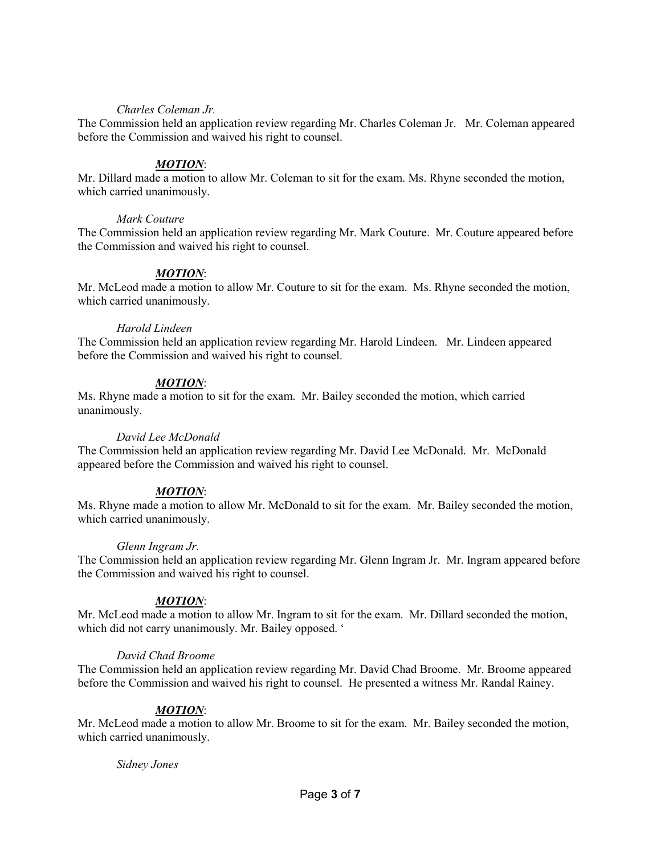### *Charles Coleman Jr.*

The Commission held an application review regarding Mr. Charles Coleman Jr. Mr. Coleman appeared before the Commission and waived his right to counsel.

### *MOTION*:

Mr. Dillard made a motion to allow Mr. Coleman to sit for the exam. Ms. Rhyne seconded the motion, which carried unanimously.

### *Mark Couture*

The Commission held an application review regarding Mr. Mark Couture. Mr. Couture appeared before the Commission and waived his right to counsel.

# *MOTION*:

Mr. McLeod made a motion to allow Mr. Couture to sit for the exam. Ms. Rhyne seconded the motion, which carried unanimously.

### *Harold Lindeen*

The Commission held an application review regarding Mr. Harold Lindeen. Mr. Lindeen appeared before the Commission and waived his right to counsel.

### *MOTION*:

Ms. Rhyne made a motion to sit for the exam. Mr. Bailey seconded the motion, which carried unanimously.

# *David Lee McDonald*

The Commission held an application review regarding Mr. David Lee McDonald. Mr. McDonald appeared before the Commission and waived his right to counsel.

# *MOTION*:

Ms. Rhyne made a motion to allow Mr. McDonald to sit for the exam. Mr. Bailey seconded the motion, which carried unanimously.

### *Glenn Ingram Jr.*

The Commission held an application review regarding Mr. Glenn Ingram Jr. Mr. Ingram appeared before the Commission and waived his right to counsel.

# *MOTION*:

Mr. McLeod made a motion to allow Mr. Ingram to sit for the exam. Mr. Dillard seconded the motion, which did not carry unanimously. Mr. Bailey opposed. '

### *David Chad Broome*

The Commission held an application review regarding Mr. David Chad Broome. Mr. Broome appeared before the Commission and waived his right to counsel. He presented a witness Mr. Randal Rainey.

### *MOTION*:

Mr. McLeod made a motion to allow Mr. Broome to sit for the exam. Mr. Bailey seconded the motion, which carried unanimously.

### *Sidney Jones*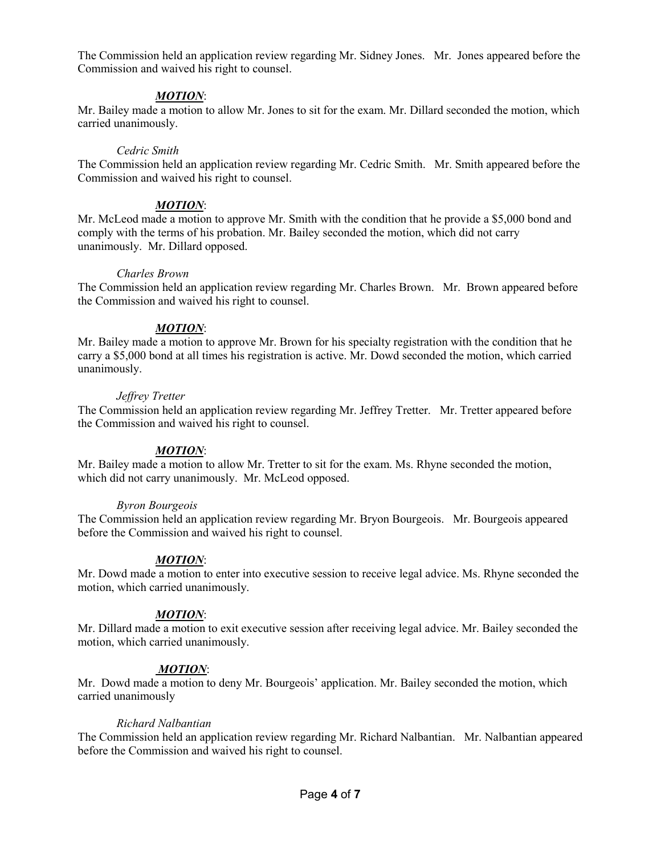The Commission held an application review regarding Mr. Sidney Jones. Mr. Jones appeared before the Commission and waived his right to counsel.

### *MOTION*:

Mr. Bailey made a motion to allow Mr. Jones to sit for the exam. Mr. Dillard seconded the motion, which carried unanimously.

### *Cedric Smith*

The Commission held an application review regarding Mr. Cedric Smith. Mr. Smith appeared before the Commission and waived his right to counsel.

### *MOTION*:

Mr. McLeod made a motion to approve Mr. Smith with the condition that he provide a \$5,000 bond and comply with the terms of his probation. Mr. Bailey seconded the motion, which did not carry unanimously. Mr. Dillard opposed.

### *Charles Brown*

The Commission held an application review regarding Mr. Charles Brown. Mr. Brown appeared before the Commission and waived his right to counsel.

# *MOTION*:

Mr. Bailey made a motion to approve Mr. Brown for his specialty registration with the condition that he carry a \$5,000 bond at all times his registration is active. Mr. Dowd seconded the motion, which carried unanimously.

### *Jeffrey Tretter*

The Commission held an application review regarding Mr. Jeffrey Tretter. Mr. Tretter appeared before the Commission and waived his right to counsel.

# *MOTION*:

Mr. Bailey made a motion to allow Mr. Tretter to sit for the exam. Ms. Rhyne seconded the motion, which did not carry unanimously. Mr. McLeod opposed.

### *Byron Bourgeois*

The Commission held an application review regarding Mr. Bryon Bourgeois. Mr. Bourgeois appeared before the Commission and waived his right to counsel.

# *MOTION*:

Mr. Dowd made a motion to enter into executive session to receive legal advice. Ms. Rhyne seconded the motion, which carried unanimously.

# *MOTION*:

Mr. Dillard made a motion to exit executive session after receiving legal advice. Mr. Bailey seconded the motion, which carried unanimously.

### *MOTION*:

Mr. Dowd made a motion to deny Mr. Bourgeois' application. Mr. Bailey seconded the motion, which carried unanimously

### *Richard Nalbantian*

The Commission held an application review regarding Mr. Richard Nalbantian. Mr. Nalbantian appeared before the Commission and waived his right to counsel.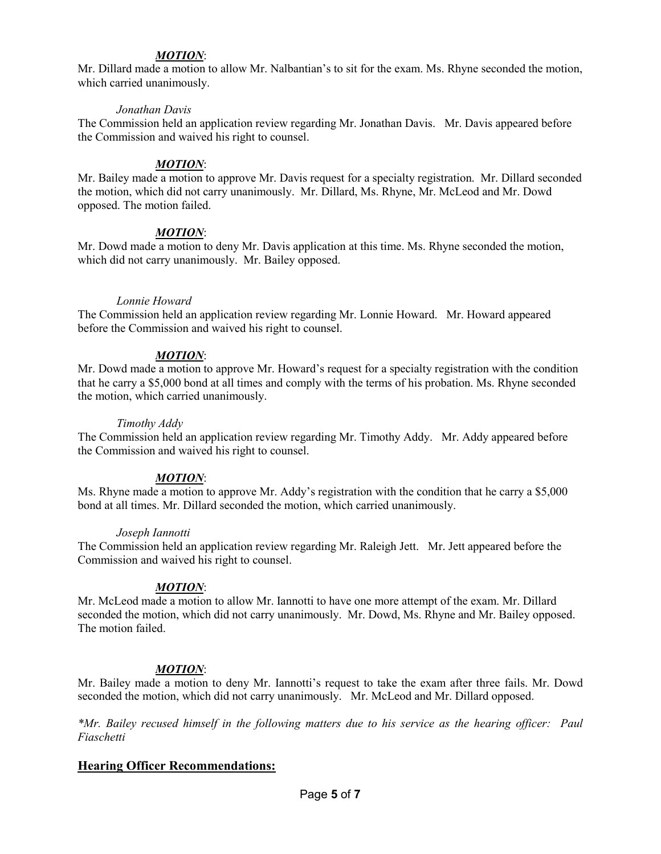#### *MOTION*:

Mr. Dillard made a motion to allow Mr. Nalbantian's to sit for the exam. Ms. Rhyne seconded the motion, which carried unanimously.

#### *Jonathan Davis*

The Commission held an application review regarding Mr. Jonathan Davis. Mr. Davis appeared before the Commission and waived his right to counsel.

### *MOTION*:

Mr. Bailey made a motion to approve Mr. Davis request for a specialty registration. Mr. Dillard seconded the motion, which did not carry unanimously. Mr. Dillard, Ms. Rhyne, Mr. McLeod and Mr. Dowd opposed. The motion failed.

### *MOTION*:

Mr. Dowd made a motion to deny Mr. Davis application at this time. Ms. Rhyne seconded the motion, which did not carry unanimously. Mr. Bailey opposed.

### *Lonnie Howard*

The Commission held an application review regarding Mr. Lonnie Howard. Mr. Howard appeared before the Commission and waived his right to counsel.

### *MOTION*:

Mr. Dowd made a motion to approve Mr. Howard's request for a specialty registration with the condition that he carry a \$5,000 bond at all times and comply with the terms of his probation. Ms. Rhyne seconded the motion, which carried unanimously.

#### *Timothy Addy*

The Commission held an application review regarding Mr. Timothy Addy. Mr. Addy appeared before the Commission and waived his right to counsel.

# *MOTION*:

Ms. Rhyne made a motion to approve Mr. Addy's registration with the condition that he carry a \$5,000 bond at all times. Mr. Dillard seconded the motion, which carried unanimously.

### *Joseph Iannotti*

The Commission held an application review regarding Mr. Raleigh Jett. Mr. Jett appeared before the Commission and waived his right to counsel.

### *MOTION*:

Mr. McLeod made a motion to allow Mr. Iannotti to have one more attempt of the exam. Mr. Dillard seconded the motion, which did not carry unanimously. Mr. Dowd, Ms. Rhyne and Mr. Bailey opposed. The motion failed.

### *MOTION*:

Mr. Bailey made a motion to deny Mr. Iannotti's request to take the exam after three fails. Mr. Dowd seconded the motion, which did not carry unanimously. Mr. McLeod and Mr. Dillard opposed.

*\*Mr. Bailey recused himself in the following matters due to his service as the hearing officer: Paul Fiaschetti*

# **Hearing Officer Recommendations:**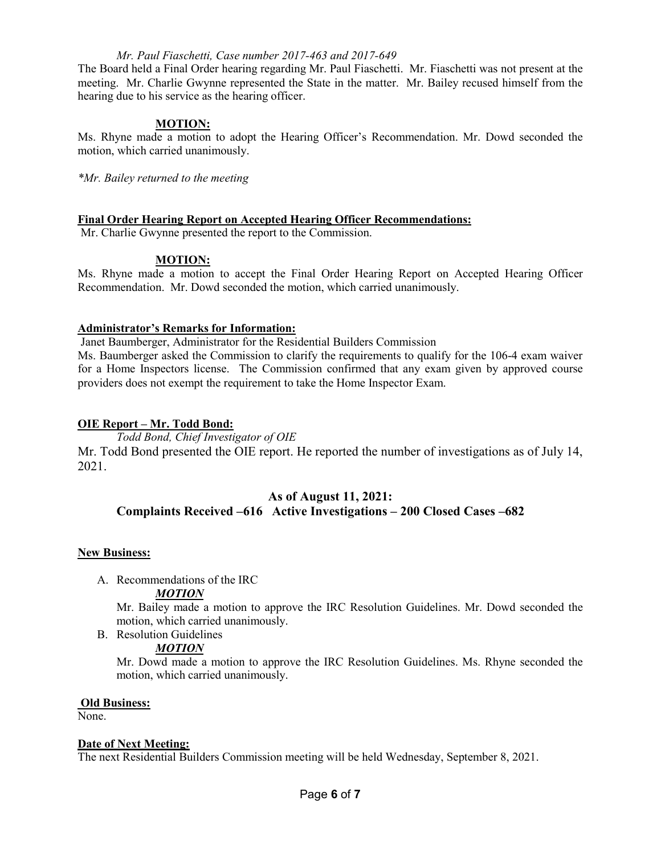### *Mr. Paul Fiaschetti, Case number 2017-463 and 2017-649*

The Board held a Final Order hearing regarding Mr. Paul Fiaschetti. Mr. Fiaschetti was not present at the meeting. Mr. Charlie Gwynne represented the State in the matter. Mr. Bailey recused himself from the hearing due to his service as the hearing officer.

### **MOTION:**

Ms. Rhyne made a motion to adopt the Hearing Officer's Recommendation. Mr. Dowd seconded the motion, which carried unanimously.

*\*Mr. Bailey returned to the meeting* 

### **Final Order Hearing Report on Accepted Hearing Officer Recommendations:**

Mr. Charlie Gwynne presented the report to the Commission.

### **MOTION:**

Ms. Rhyne made a motion to accept the Final Order Hearing Report on Accepted Hearing Officer Recommendation. Mr. Dowd seconded the motion, which carried unanimously.

### **Administrator's Remarks for Information:**

Janet Baumberger, Administrator for the Residential Builders Commission

Ms. Baumberger asked the Commission to clarify the requirements to qualify for the 106-4 exam waiver for a Home Inspectors license. The Commission confirmed that any exam given by approved course providers does not exempt the requirement to take the Home Inspector Exam.

### **OIE Report – Mr. Todd Bond:**

*Todd Bond, Chief Investigator of OIE*

Mr. Todd Bond presented the OIE report. He reported the number of investigations as of July 14, 2021.

# **As of August 11, 2021:**

# **Complaints Received –616 Active Investigations – 200 Closed Cases –682**

### **New Business:**

A. Recommendations of the IRC

### *MOTION*

Mr. Bailey made a motion to approve the IRC Resolution Guidelines. Mr. Dowd seconded the motion, which carried unanimously.

B. Resolution Guidelines

### *MOTION*

Mr. Dowd made a motion to approve the IRC Resolution Guidelines. Ms. Rhyne seconded the motion, which carried unanimously.

### **Old Business:**

None.

### **Date of Next Meeting:**

The next Residential Builders Commission meeting will be held Wednesday, September 8, 2021.